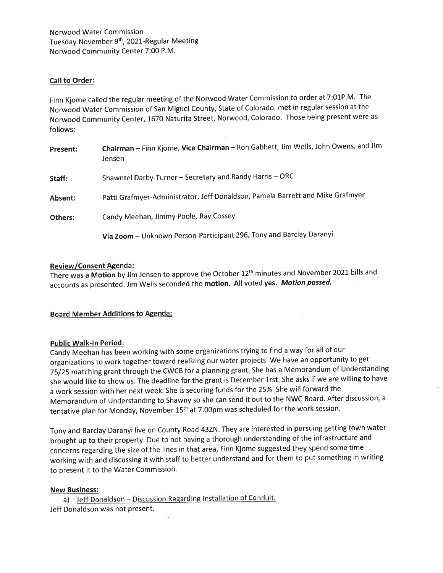# Call to Order:

Finn Kjome called the regular meeting of the Norwood Water Commission to order at 7:01P.M. The Norwood Water Commission of San Miguel County, State of Colorado, met in regular session at the Norwood Community Center, 1670 Naturita Street, Norwood, Colorado. Those being present were as follows:

| Present: | Chairman - Finn Kjome, Vice Chairman - Ron Gabbett, Jim Wells, John Owens, and Jim<br>Jensen |
|----------|----------------------------------------------------------------------------------------------|
| Staff:   | Shawntel Darby-Turner - Secretary and Randy Harris - ORC                                     |
| Absent:  | Patti Grafmyer-Administrator, Jeff Donaldson, Pamela Barrett and Mike Grafmyer               |
| Others:  | Candy Meehan, Jimmy Poole, Ray Cossey                                                        |
|          | Via Zoom - Unknown Person-Participant 296, Tony and Barclay Daranyi                          |

# Review/Consent Agenda:

There was a Motion by Jim Jensen to approve the October 12<sup>th</sup> minutes and November 2021 bills and accounts as presented. Jim Wells seconded the motion. All voted yes. Motion passed.

 $\mathcal{C}^{\mathrm{an}}_{\mathrm{loc}}$ 

## Board Member Additions to Agenda:

## Public Walk-ln Period:

Candy Meehan has been working with some organizations trying to find a way for all of our organizations to work together toward realizing our water projects. We have an opportunity to get 7S/25 matching grant through the CWCB for a planning grant. She has a Memorandum of Understanding she would like to show us. The deadline for the grant is December 1rst. She asks if we are willing to have <sup>a</sup>work session with her next week. She is securing funds for the 25%. She will forward the Memorandum of Understanding to Shawny so she can send it out to the NWC Board. After discussion, <sup>a</sup> tentative plan for Monday, November 15<sup>th</sup> at 7:00pm was scheduled for the work session.

Tony and Barclay Daranyi live on County Road 432N. They are interested in pursuing getting town water brought up to their property. Due to not having a thorough understanding of the infrastructure and concerns regarding the size of the lines in that area, Finn Kjome suggested they spend some time working with and discussing it with staff to better understand and for them to put something in writing to present it to the Water Commission.

## New Business:

a) Jeff Donaldson – Discussion Regarding Installation of Co Jeff Donaldson was not present.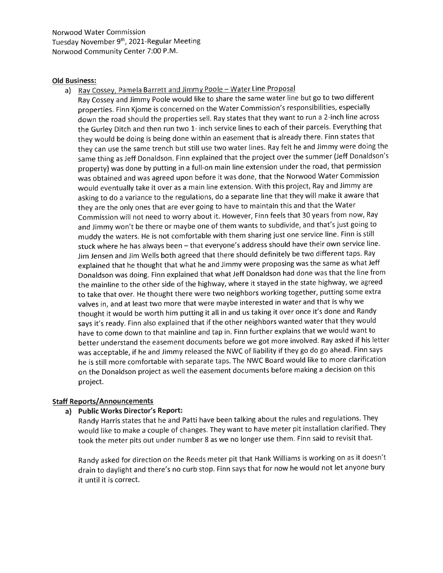Norwood Water Commission Tuesday November 9th, 2021-Regular Meeting Norwood Community Center 7:00 P.M.

#### Old Business:

a) Ray Cossey, Pamela Barrett and Jimmy Poole - Water Line Proposal

Ray Cossey and Jimmy Poole would like to share the same water line but go to two different properties. Finn Kjome is concerned on the Water Commission's responsibil ities, especially down the road should the properties sell. Ray states that they want to run a 2-inch line across the Gurley Ditch and then run two 1- inch service lines to each of their parcels. Everything that they would be doing is being done within an easement that is already there. Finn states that they can use the same trench but still use two water lines. Ray felt he and Jimmy were doing the same thing as Jeff Donaldson. Finn explained that the project over the summer (Jeff Donaldson's property) was done by putting in a full-on main line extension under the road, that permission was obtained and was agreed upon before it was done, that the Norwood Water Commission would eventually take it over as a main line extension. With this project, Ray and Jimmy are asking to do a variance to the regulations, do a separate line that they will make it aware that they are the only ones that are ever going to have to maintain this and that the Water Commission will not need to worry about it. However, Finn feels that 30 years from now, Ray and Jimmy won't be there or maybe one of them wants to subdivide, and that's just going to muddy the waters. He is not comfortable with them sharing just one service line. Finn is still stuck where he has always been - that everyone's address should have their own service line. Jim Jensen and Jim Wells both agreed that there should definitely be two different taps. Ray explained that he thought that what he and Jimmy were proposing was the same as what Jeff Donaldson was doing. Finn explained that what Jeff Donaldson had done was that the line from the mainline to the other side of the highway, where it stayed in the state highway, we agreed to take that over. He thought there were two neighbors working together, putting some extra valves in, and at least two more that were maybe interested in water and that is why we thought it would be worth him putting it all in and us taking it over once it's done and Randy says it's ready. Finn also explained that if the other neighbors wanted water that they would have to come down to that mainline and tap in. Finn further explains that we would want to better understand the easement documents before we got more involved. Ray asked if his letter was acceptable, if he and Jimmy released the NWC of liability if they go do go ahead. Finn says he is still more comfortable with separate taps. The NWC Board would like to more clarification on the Donaldson project as well the easement documents before making a decision on this project.

## Staff Reports/Announcements

# a) Public Works Director's Report:

Randy Harris states that he and Patti have been talking about the rules and regulations. They would like to make a couple of changes. They want to have meter pit installation clarified. They took the meter pits out under number 8 as we no longer use them. Finn said to revisit that.

Randy asked for direction on the Reeds meter pit that Hank Williams is working on as it doesn't drain to daylight and there's no curb stop. Finn says that for now he would not let anyone bury it until it is correct.